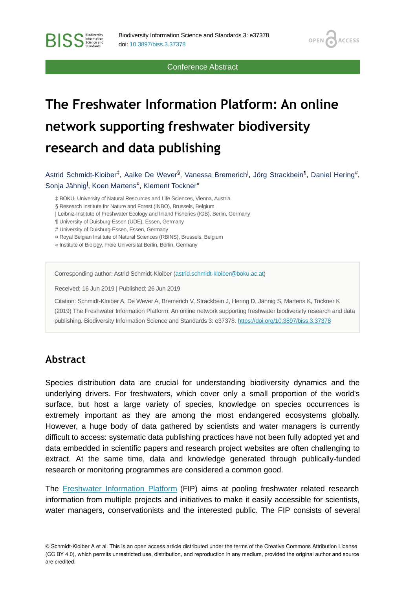Conference Abstract

**OPEN** 

**ACCESS** 

# **The Freshwater Information Platform: An online network supporting freshwater biodiversity research and data publishing**

Astrid Schmidt-Kloiber<sup>‡</sup>, Aaike De Wever<sup>§</sup>, Vanessa Bremerich<sup>I</sup>, Jörg Strackbein<sup>¶</sup>, Daniel Hering#, Sonja Jähnig<sup>l</sup>, Koen Martens<sup>8</sup>, Klement Tockner«

‡ BOKU, University of Natural Resources and Life Sciences, Vienna, Austria

§ Research Institute for Nature and Forest (INBO), Brussels, Belgium

| Leibniz-Institute of Freshwater Ecology and Inland Fisheries (IGB), Berlin, Germany

¶ University of Duisburg-Essen (UDE), Essen, Germany

# University of Duisburg-Essen, Essen, Germany

¤ Royal Belgian Institute of Natural Sciences (RBINS), Brussels, Belgium

« Institute of Biology, Freie Universität Berlin, Berlin, Germany

Corresponding author: Astrid Schmidt-Kloiber ([astrid.schmidt-kloiber@boku.ac.at](mailto:astrid.schmidt-kloiber@boku.ac.at))

Received: 16 Jun 2019 | Published: 26 Jun 2019

Citation: Schmidt-Kloiber A, De Wever A, Bremerich V, Strackbein J, Hering D, Jähnig S, Martens K, Tockner K (2019) The Freshwater Information Platform: An online network supporting freshwater biodiversity research and data publishing. Biodiversity Information Science and Standards 3: e37378. <https://doi.org/10.3897/biss.3.37378>

### **Abstract**

**BISS** Steince and

Species distribution data are crucial for understanding biodiversity dynamics and the underlying drivers. For freshwaters, which cover only a small proportion of the world's surface, but host a large variety of species, knowledge on species occurrences is extremely important as they are among the most endangered ecosystems globally. However, a huge body of data gathered by scientists and water managers is currently difficult to access: systematic data publishing practices have not been fully adopted yet and data embedded in scientific papers and research project websites are often challenging to extract. At the same time, data and knowledge generated through publically-funded research or monitoring programmes are considered a common good.

The [Freshwater Information Platform](http://www.freshwaterplatform.eu) (FIP) aims at pooling freshwater related research information from multiple projects and initiatives to make it easily accessible for scientists, water managers, conservationists and the interested public. The FIP consists of several

© Schmidt-Kloiber A et al. This is an open access article distributed under the terms of the Creative Commons Attribution License (CC BY 4.0), which permits unrestricted use, distribution, and reproduction in any medium, provided the original author and source are credited.